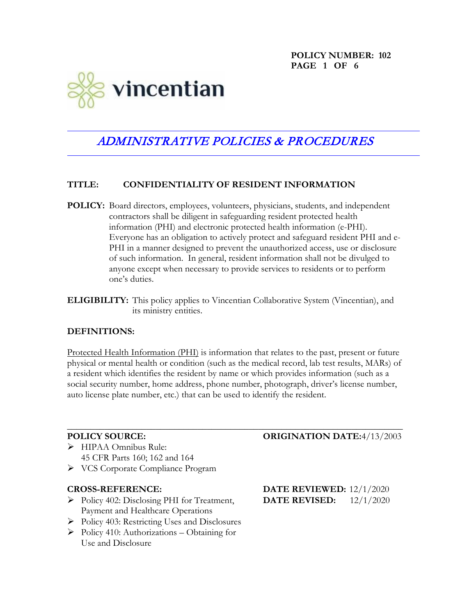**POLICY NUMBER: 102 PAGE 1 OF 6**



# ADMINISTRATIVE POLICIES & PROCEDURES

#### **TITLE: CONFIDENTIALITY OF RESIDENT INFORMATION**

- **POLICY:** Board directors, employees, volunteers, physicians, students, and independent contractors shall be diligent in safeguarding resident protected health information (PHI) and electronic protected health information (e-PHI). Everyone has an obligation to actively protect and safeguard resident PHI and e-PHI in a manner designed to prevent the unauthorized access, use or disclosure of such information. In general, resident information shall not be divulged to anyone except when necessary to provide services to residents or to perform one's duties.
- **ELIGIBILITY:** This policy applies to Vincentian Collaborative System (Vincentian), and its ministry entities.

#### **DEFINITIONS:**

Protected Health Information (PHI) is information that relates to the past, present or future physical or mental health or condition (such as the medical record, lab test results, MARs) of a resident which identifies the resident by name or which provides information (such as a social security number, home address, phone number, photograph, driver's license number, auto license plate number, etc.) that can be used to identify the resident.

\_\_\_\_\_\_\_\_\_\_\_\_\_\_\_\_\_\_\_\_\_\_\_\_\_\_\_\_\_\_\_\_\_\_\_\_\_\_\_\_\_\_\_\_\_\_\_\_\_\_\_\_\_\_\_\_\_\_\_\_\_\_\_\_\_\_\_\_\_\_\_\_

- HIPAA Omnibus Rule: 45 CFR Parts 160; 162 and 164
- VCS Corporate Compliance Program

- Policy 402: Disclosing PHI for Treatment, **DATE REVISED:** 12/1/2020 Payment and Healthcare Operations
- $\triangleright$  Policy 403: Restricting Uses and Disclosures
- $\triangleright$  Policy 410: Authorizations Obtaining for Use and Disclosure

### **POLICY SOURCE: ORIGINATION DATE:**4/13/2003

**CROSS-REFERENCE: DATE REVIEWED:** 12/1/2020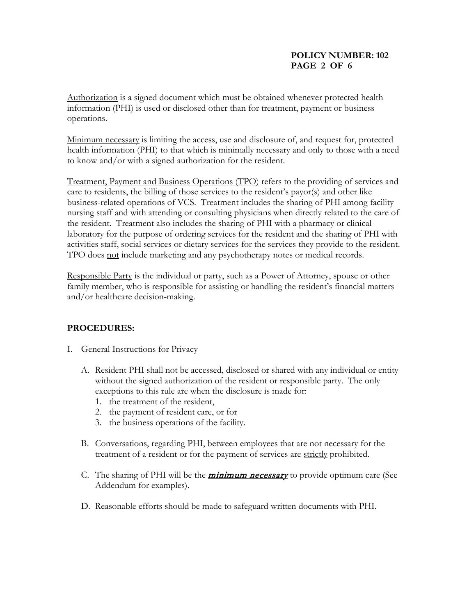#### **POLICY NUMBER: 102 PAGE 2 OF 6**

Authorization is a signed document which must be obtained whenever protected health information (PHI) is used or disclosed other than for treatment, payment or business operations.

Minimum necessary is limiting the access, use and disclosure of, and request for, protected health information (PHI) to that which is minimally necessary and only to those with a need to know and/or with a signed authorization for the resident.

Treatment, Payment and Business Operations (TPO) refers to the providing of services and care to residents, the billing of those services to the resident's payor(s) and other like business-related operations of VCS. Treatment includes the sharing of PHI among facility nursing staff and with attending or consulting physicians when directly related to the care of the resident. Treatment also includes the sharing of PHI with a pharmacy or clinical laboratory for the purpose of ordering services for the resident and the sharing of PHI with activities staff, social services or dietary services for the services they provide to the resident. TPO does not include marketing and any psychotherapy notes or medical records.

Responsible Party is the individual or party, such as a Power of Attorney, spouse or other family member, who is responsible for assisting or handling the resident's financial matters and/or healthcare decision-making.

# **PROCEDURES:**

- I. General Instructions for Privacy
	- A. Resident PHI shall not be accessed, disclosed or shared with any individual or entity without the signed authorization of the resident or responsible party. The only exceptions to this rule are when the disclosure is made for:
		- 1. the treatment of the resident,
		- 2. the payment of resident care, or for
		- 3. the business operations of the facility.
	- B. Conversations, regarding PHI, between employees that are not necessary for the treatment of a resident or for the payment of services are strictly prohibited.
	- C. The sharing of PHI will be the *minimum necessary* to provide optimum care (See Addendum for examples).
	- D. Reasonable efforts should be made to safeguard written documents with PHI.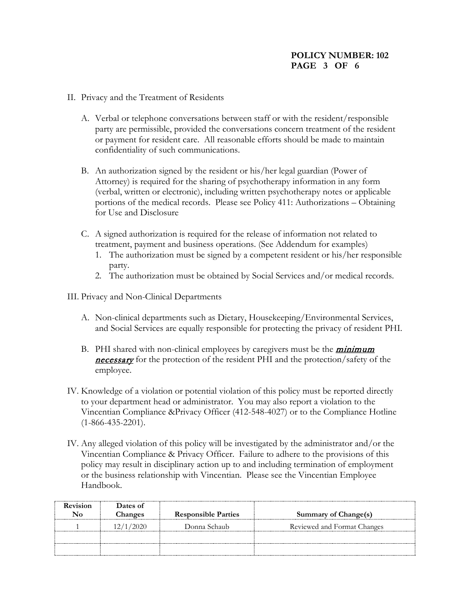### **POLICY NUMBER: 102 PAGE 3 OF 6**

- II. Privacy and the Treatment of Residents
	- A. Verbal or telephone conversations between staff or with the resident/responsible party are permissible, provided the conversations concern treatment of the resident or payment for resident care. All reasonable efforts should be made to maintain confidentiality of such communications.
	- B. An authorization signed by the resident or his/her legal guardian (Power of Attorney) is required for the sharing of psychotherapy information in any form (verbal, written or electronic), including written psychotherapy notes or applicable portions of the medical records. Please see Policy 411: Authorizations – Obtaining for Use and Disclosure
	- C. A signed authorization is required for the release of information not related to treatment, payment and business operations. (See Addendum for examples)
		- 1. The authorization must be signed by a competent resident or his/her responsible party.
		- 2. The authorization must be obtained by Social Services and/or medical records.
- III. Privacy and Non-Clinical Departments
	- A. Non-clinical departments such as Dietary, Housekeeping/Environmental Services, and Social Services are equally responsible for protecting the privacy of resident PHI.
	- B. PHI shared with non-clinical employees by caregivers must be the *minimum* necessary for the protection of the resident PHI and the protection/safety of the employee.
- IV. Knowledge of a violation or potential violation of this policy must be reported directly to your department head or administrator. You may also report a violation to the Vincentian Compliance &Privacy Officer (412-548-4027) or to the Compliance Hotline (1-866-435-2201).
- IV. Any alleged violation of this policy will be investigated by the administrator and/or the Vincentian Compliance & Privacy Officer. Failure to adhere to the provisions of this policy may result in disciplinary action up to and including termination of employment or the business relationship with Vincentian. Please see the Vincentian Employee Handbook.

| <b>Revision</b> | Dates of  |                            |                             |
|-----------------|-----------|----------------------------|-----------------------------|
|                 | Changes   | <b>Responsible Parties</b> | Summary of Change(s)        |
|                 | 12/1/2020 | Donna Schaub               | Reviewed and Format Changes |
|                 |           |                            |                             |
|                 |           |                            |                             |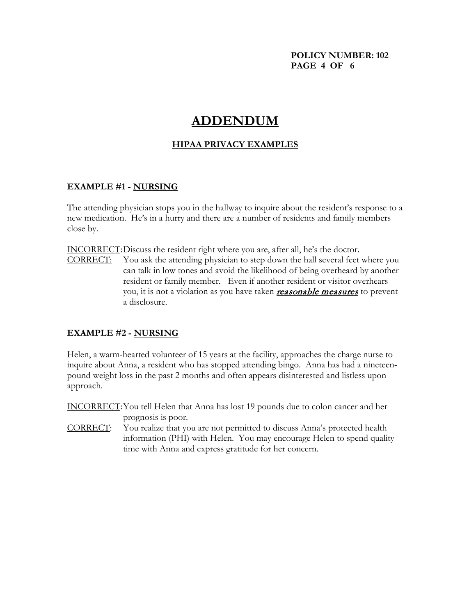#### **POLICY NUMBER: 102 PAGE 4 OF 6**

# **ADDENDUM**

## **HIPAA PRIVACY EXAMPLES**

#### **EXAMPLE #1 - NURSING**

The attending physician stops you in the hallway to inquire about the resident's response to a new medication. He's in a hurry and there are a number of residents and family members close by.

INCORRECT:Discuss the resident right where you are, after all, he's the doctor.

CORRECT: You ask the attending physician to step down the hall several feet where you can talk in low tones and avoid the likelihood of being overheard by another resident or family member. Even if another resident or visitor overhears you, it is not a violation as you have taken **reasonable measures** to prevent a disclosure.

#### **EXAMPLE #2 - NURSING**

Helen, a warm-hearted volunteer of 15 years at the facility, approaches the charge nurse to inquire about Anna, a resident who has stopped attending bingo. Anna has had a nineteenpound weight loss in the past 2 months and often appears disinterested and listless upon approach.

INCORRECT:You tell Helen that Anna has lost 19 pounds due to colon cancer and her prognosis is poor.

CORRECT: You realize that you are not permitted to discuss Anna's protected health information (PHI) with Helen. You may encourage Helen to spend quality time with Anna and express gratitude for her concern.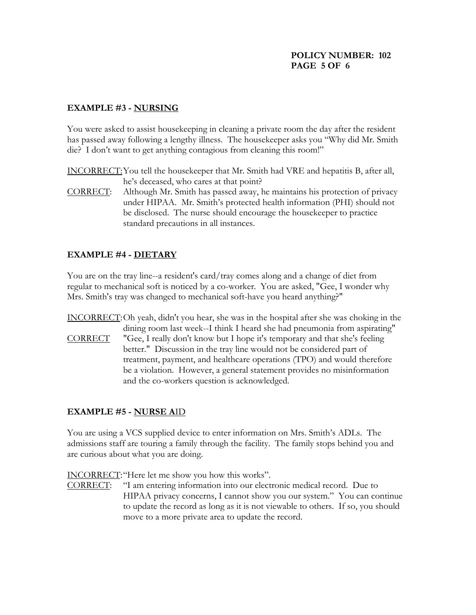### **POLICY NUMBER: 102 PAGE 5 OF 6**

### **EXAMPLE #3 - NURSING**

You were asked to assist housekeeping in cleaning a private room the day after the resident has passed away following a lengthy illness. The housekeeper asks you "Why did Mr. Smith die? I don't want to get anything contagious from cleaning this room!"

INCORRECT:You tell the housekeeper that Mr. Smith had VRE and hepatitis B, after all, he's deceased, who cares at that point?

CORRECT: Although Mr. Smith has passed away, he maintains his protection of privacy under HIPAA. Mr. Smith's protected health information (PHI) should not be disclosed. The nurse should encourage the housekeeper to practice standard precautions in all instances.

# **EXAMPLE #4 - DIETARY**

You are on the tray line--a resident's card/tray comes along and a change of diet from regular to mechanical soft is noticed by a co-worker. You are asked, "Gee, I wonder why Mrs. Smith's tray was changed to mechanical soft-have you heard anything?"

INCORRECT:Oh yeah, didn't you hear, she was in the hospital after she was choking in the dining room last week--I think I heard she had pneumonia from aspirating"

CORRECT "Gee, I really don't know but I hope it's temporary and that she's feeling better." Discussion in the tray line would not be considered part of treatment, payment, and healthcare operations (TPO) and would therefore be a violation. However, a general statement provides no misinformation and the co-workers question is acknowledged.

# **EXAMPLE #5 - NURSE A**ID

You are using a VCS supplied device to enter information on Mrs. Smith's ADLs. The admissions staff are touring a family through the facility. The family stops behind you and are curious about what you are doing.

INCORRECT:"Here let me show you how this works".

CORRECT: "I am entering information into our electronic medical record. Due to HIPAA privacy concerns, I cannot show you our system." You can continue to update the record as long as it is not viewable to others. If so, you should move to a more private area to update the record.